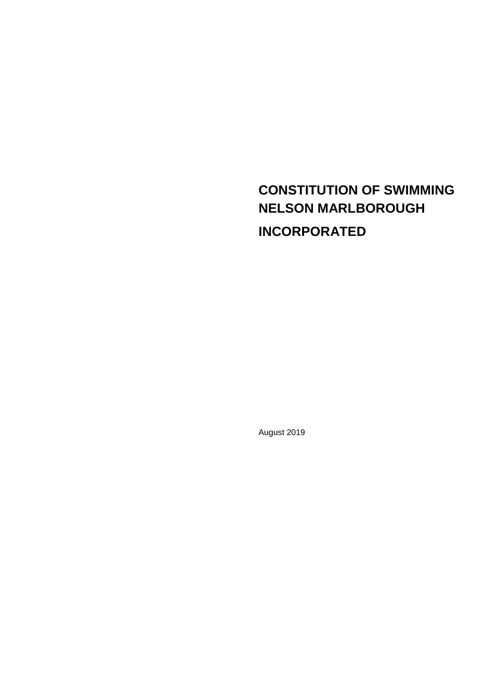# **CONSTITUTION OF SWIMMING NELSON MARLBOROUGH INCORPORATED**

August 2019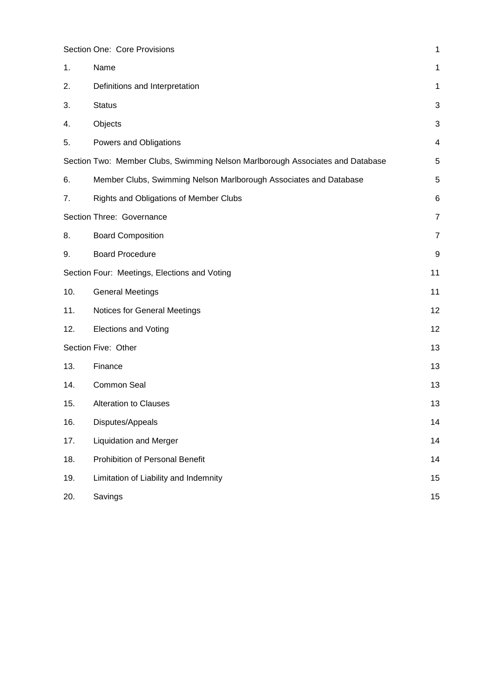|                     | Section One: Core Provisions                                                   | 1                       |
|---------------------|--------------------------------------------------------------------------------|-------------------------|
| 1.                  | Name                                                                           | 1                       |
| 2.                  | Definitions and Interpretation                                                 | 1                       |
| 3.                  | <b>Status</b>                                                                  | 3                       |
| 4.                  | Objects                                                                        | 3                       |
| 5.                  | Powers and Obligations                                                         | $\overline{\mathbf{4}}$ |
|                     | Section Two: Member Clubs, Swimming Nelson Marlborough Associates and Database | $\mathbf 5$             |
| 6.                  | Member Clubs, Swimming Nelson Marlborough Associates and Database              | $\mathbf 5$             |
| 7.                  | Rights and Obligations of Member Clubs                                         | 6                       |
|                     | Section Three: Governance                                                      | $\overline{7}$          |
| 8.                  | <b>Board Composition</b>                                                       | $\overline{7}$          |
| 9.                  | <b>Board Procedure</b>                                                         | 9                       |
|                     | Section Four: Meetings, Elections and Voting                                   | 11                      |
| 10.                 | <b>General Meetings</b>                                                        | 11                      |
| 11.                 | Notices for General Meetings                                                   | 12                      |
| 12.                 | <b>Elections and Voting</b>                                                    | 12                      |
| Section Five: Other |                                                                                | 13                      |
| 13.                 | Finance                                                                        | 13                      |
| 14.                 | Common Seal                                                                    | 13                      |
| 15.                 | <b>Alteration to Clauses</b>                                                   | 13                      |
| 16.                 | Disputes/Appeals                                                               | 14                      |
| 17.                 | <b>Liquidation and Merger</b>                                                  | 14                      |
| 18.                 | Prohibition of Personal Benefit                                                | 14                      |
| 19.                 | Limitation of Liability and Indemnity                                          | 15                      |
| 20.                 | Savings                                                                        | 15                      |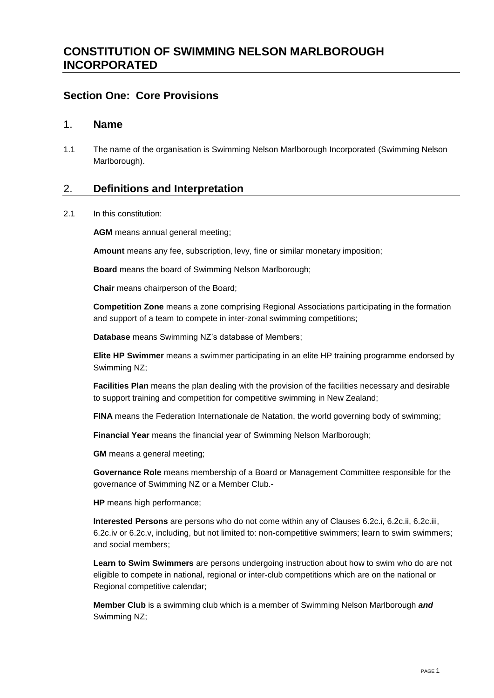# **CONSTITUTION OF SWIMMING NELSON MARLBOROUGH INCORPORATED**

# <span id="page-2-0"></span>**Section One: Core Provisions**

#### <span id="page-2-1"></span>1. **Name**

1.1 The name of the organisation is Swimming Nelson Marlborough Incorporated (Swimming Nelson Marlborough).

#### <span id="page-2-2"></span>2. **Definitions and Interpretation**

2.1 In this constitution:

**AGM** means annual general meeting;

**Amount** means any fee, subscription, levy, fine or similar monetary imposition;

**Board** means the board of Swimming Nelson Marlborough;

**Chair** means chairperson of the Board;

**Competition Zone** means a zone comprising Regional Associations participating in the formation and support of a team to compete in inter-zonal swimming competitions;

**Database** means Swimming NZ's database of Members;

**Elite HP Swimmer** means a swimmer participating in an elite HP training programme endorsed by Swimming NZ;

**Facilities Plan** means the plan dealing with the provision of the facilities necessary and desirable to support training and competition for competitive swimming in New Zealand;

**FINA** means the Federation Internationale de Natation, the world governing body of swimming;

**Financial Year** means the financial year of Swimming Nelson Marlborough;

**GM** means a general meeting;

**Governance Role** means membership of a Board or Management Committee responsible for the governance of Swimming NZ or a Member Club.-

**HP** means high performance;

**Interested Persons** are persons who do not come within any of Clauses [6.2c.i,](#page-6-2) [6.2c.ii,](#page-6-3) [6.2c.iii,](#page-6-4) [6.2c.iv](#page-7-1) or [6.2c.v,](#page-7-2) including, but not limited to: non-competitive swimmers; learn to swim swimmers; and social members;

**Learn to Swim Swimmers** are persons undergoing instruction about how to swim who do are not eligible to compete in national, regional or inter-club competitions which are on the national or Regional competitive calendar;

**Member Club** is a swimming club which is a member of Swimming Nelson Marlborough *and*  Swimming NZ;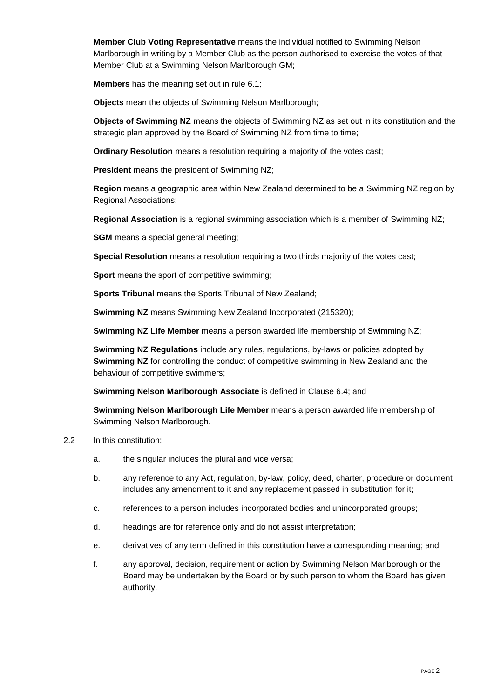**Member Club Voting Representative** means the individual notified to Swimming Nelson Marlborough in writing by a Member Club as the person authorised to exercise the votes of that Member Club at a Swimming Nelson Marlborough GM;

**Members** has the meaning set out in rule [6.1;](#page-6-5)

**Objects** mean the objects of Swimming Nelson Marlborough;

**Objects of Swimming NZ** means the objects of Swimming NZ as set out in its constitution and the strategic plan approved by the Board of Swimming NZ from time to time;

**Ordinary Resolution** means a resolution requiring a majority of the votes cast;

**President** means the president of Swimming NZ;

**Region** means a geographic area within New Zealand determined to be a Swimming NZ region by Regional Associations;

**Regional Association** is a regional swimming association which is a member of Swimming NZ;

**SGM** means a special general meeting;

**Special Resolution** means a resolution requiring a two thirds majority of the votes cast;

**Sport** means the sport of competitive swimming;

**Sports Tribunal** means the Sports Tribunal of New Zealand;

**Swimming NZ** means Swimming New Zealand Incorporated (215320);

**Swimming NZ Life Member** means a person awarded life membership of Swimming NZ;

**Swimming NZ Regulations** include any rules, regulations, by-laws or policies adopted by **Swimming NZ** for controlling the conduct of competitive swimming in New Zealand and the behaviour of competitive swimmers;

**Swimming Nelson Marlborough Associate** is defined in Clause [6.4;](#page-7-3) and

**Swimming Nelson Marlborough Life Member** means a person awarded life membership of Swimming Nelson Marlborough.

- 2.2 In this constitution:
	- a. the singular includes the plural and vice versa;
	- b. any reference to any Act, regulation, by-law, policy, deed, charter, procedure or document includes any amendment to it and any replacement passed in substitution for it;
	- c. references to a person includes incorporated bodies and unincorporated groups;
	- d. headings are for reference only and do not assist interpretation;
	- e. derivatives of any term defined in this constitution have a corresponding meaning; and
	- f. any approval, decision, requirement or action by Swimming Nelson Marlborough or the Board may be undertaken by the Board or by such person to whom the Board has given authority.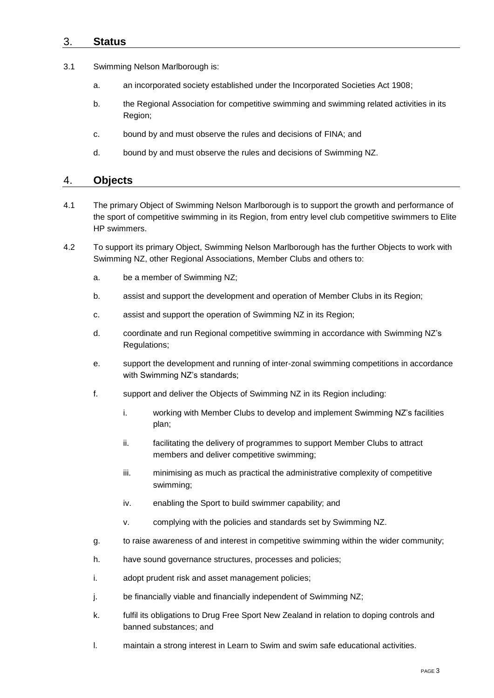### <span id="page-4-0"></span>3. **Status**

- 3.1 Swimming Nelson Marlborough is:
	- a. an incorporated society established under the Incorporated Societies Act 1908;
	- b. the Regional Association for competitive swimming and swimming related activities in its Region;
	- c. bound by and must observe the rules and decisions of FINA; and
	- d. bound by and must observe the rules and decisions of Swimming NZ.

#### <span id="page-4-1"></span>4. **Objects**

- 4.1 The primary Object of Swimming Nelson Marlborough is to support the growth and performance of the sport of competitive swimming in its Region, from entry level club competitive swimmers to Elite HP swimmers.
- 4.2 To support its primary Object, Swimming Nelson Marlborough has the further Objects to work with Swimming NZ, other Regional Associations, Member Clubs and others to:
	- a. be a member of Swimming NZ;
	- b. assist and support the development and operation of Member Clubs in its Region;
	- c. assist and support the operation of Swimming NZ in its Region;
	- d. coordinate and run Regional competitive swimming in accordance with Swimming NZ's Regulations;
	- e. support the development and running of inter-zonal swimming competitions in accordance with Swimming NZ's standards;
	- f. support and deliver the Objects of Swimming NZ in its Region including:
		- i. working with Member Clubs to develop and implement Swimming NZ's facilities plan;
		- ii. facilitating the delivery of programmes to support Member Clubs to attract members and deliver competitive swimming;
		- iii. minimising as much as practical the administrative complexity of competitive swimming;
		- iv. enabling the Sport to build swimmer capability; and
		- v. complying with the policies and standards set by Swimming NZ.
	- g. to raise awareness of and interest in competitive swimming within the wider community;
	- h. have sound governance structures, processes and policies;
	- i. adopt prudent risk and asset management policies;
	- j. be financially viable and financially independent of Swimming NZ;
	- k. fulfil its obligations to Drug Free Sport New Zealand in relation to doping controls and banned substances; and
	- l. maintain a strong interest in Learn to Swim and swim safe educational activities.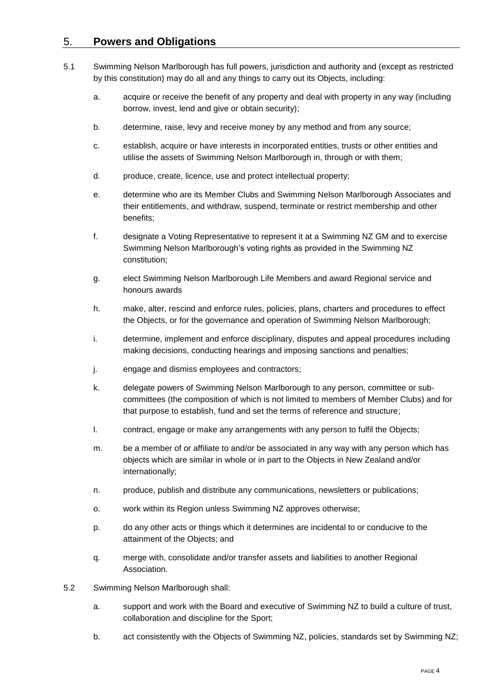## <span id="page-5-0"></span>5. **Powers and Obligations**

- 5.1 Swimming Nelson Marlborough has full powers, jurisdiction and authority and (except as restricted by this constitution) may do all and any things to carry out its Objects, including:
	- a. acquire or receive the benefit of any property and deal with property in any way (including borrow, invest, lend and give or obtain security);
	- b. determine, raise, levy and receive money by any method and from any source;
	- c. establish, acquire or have interests in incorporated entities, trusts or other entities and utilise the assets of Swimming Nelson Marlborough in, through or with them;
	- d. produce, create, licence, use and protect intellectual property;
	- e. determine who are its Member Clubs and Swimming Nelson Marlborough Associates and their entitlements, and withdraw, suspend, terminate or restrict membership and other benefits;
	- f. designate a Voting Representative to represent it at a Swimming NZ GM and to exercise Swimming Nelson Marlborough's voting rights as provided in the Swimming NZ constitution;
	- g. elect Swimming Nelson Marlborough Life Members and award Regional service and honours awards
	- h. make, alter, rescind and enforce rules, policies, plans, charters and procedures to effect the Objects, or for the governance and operation of Swimming Nelson Marlborough;
	- i. determine, implement and enforce disciplinary, disputes and appeal procedures including making decisions, conducting hearings and imposing sanctions and penalties;
	- j. engage and dismiss employees and contractors;
	- k. delegate powers of Swimming Nelson Marlborough to any person, committee or subcommittees (the composition of which is not limited to members of Member Clubs) and for that purpose to establish, fund and set the terms of reference and structure;
	- l. contract, engage or make any arrangements with any person to fulfil the Objects;
	- m. be a member of or affiliate to and/or be associated in any way with any person which has objects which are similar in whole or in part to the Objects in New Zealand and/or internationally;
	- n. produce, publish and distribute any communications, newsletters or publications;
	- o. work within its Region unless Swimming NZ approves otherwise;
	- p. do any other acts or things which it determines are incidental to or conducive to the attainment of the Objects; and
	- q. merge with, consolidate and/or transfer assets and liabilities to another Regional Association.
- 5.2 Swimming Nelson Marlborough shall:
	- a. support and work with the Board and executive of Swimming NZ to build a culture of trust, collaboration and discipline for the Sport;
	- b. act consistently with the Objects of Swimming NZ, policies, standards set by Swimming NZ;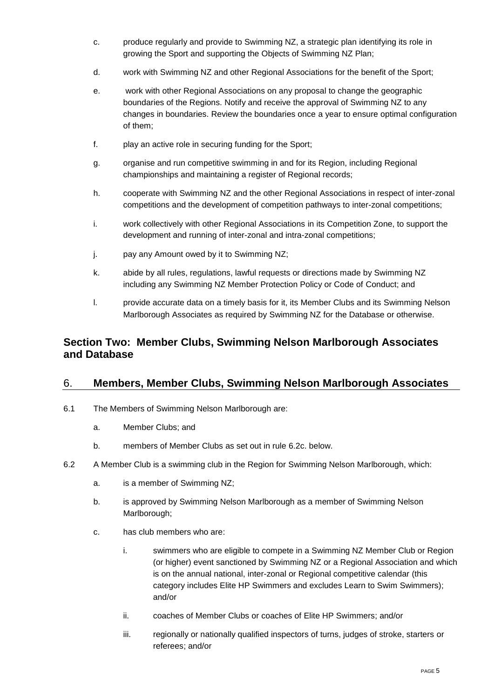- c. produce regularly and provide to Swimming NZ, a strategic plan identifying its role in growing the Sport and supporting the Objects of Swimming NZ Plan;
- d. work with Swimming NZ and other Regional Associations for the benefit of the Sport;
- e. work with other Regional Associations on any proposal to change the geographic boundaries of the Regions. Notify and receive the approval of Swimming NZ to any changes in boundaries. Review the boundaries once a year to ensure optimal configuration of them;
- f. play an active role in securing funding for the Sport;
- g. organise and run competitive swimming in and for its Region, including Regional championships and maintaining a register of Regional records;
- h. cooperate with Swimming NZ and the other Regional Associations in respect of inter-zonal competitions and the development of competition pathways to inter-zonal competitions;
- i. work collectively with other Regional Associations in its Competition Zone, to support the development and running of inter-zonal and intra-zonal competitions;
- j. pay any Amount owed by it to Swimming NZ;
- k. abide by all rules, regulations, lawful requests or directions made by Swimming NZ including any Swimming NZ Member Protection Policy or Code of Conduct; and
- l. provide accurate data on a timely basis for it, its Member Clubs and its Swimming Nelson Marlborough Associates as required by Swimming NZ for the Database or otherwise.

# <span id="page-6-0"></span>**Section Two: Member Clubs, Swimming Nelson Marlborough Associates and Database**

#### <span id="page-6-1"></span>6. **Members, Member Clubs, Swimming Nelson Marlborough Associates**

- <span id="page-6-5"></span>6.1 The Members of Swimming Nelson Marlborough are:
	- a. Member Clubs; and
	- b. members of Member Clubs as set out in rule [6.2c.](#page-6-6) below.
- <span id="page-6-7"></span><span id="page-6-6"></span><span id="page-6-4"></span><span id="page-6-3"></span><span id="page-6-2"></span>6.2 A Member Club is a swimming club in the Region for Swimming Nelson Marlborough, which:
	- a. is a member of Swimming NZ;
	- b. is approved by Swimming Nelson Marlborough as a member of Swimming Nelson Marlborough;
	- c. has club members who are:
		- i. swimmers who are eligible to compete in a Swimming NZ Member Club or Region (or higher) event sanctioned by Swimming NZ or a Regional Association and which is on the annual national, inter-zonal or Regional competitive calendar (this category includes Elite HP Swimmers and excludes Learn to Swim Swimmers); and/or
		- ii. coaches of Member Clubs or coaches of Elite HP Swimmers; and/or
		- iii. regionally or nationally qualified inspectors of turns, judges of stroke, starters or referees; and/or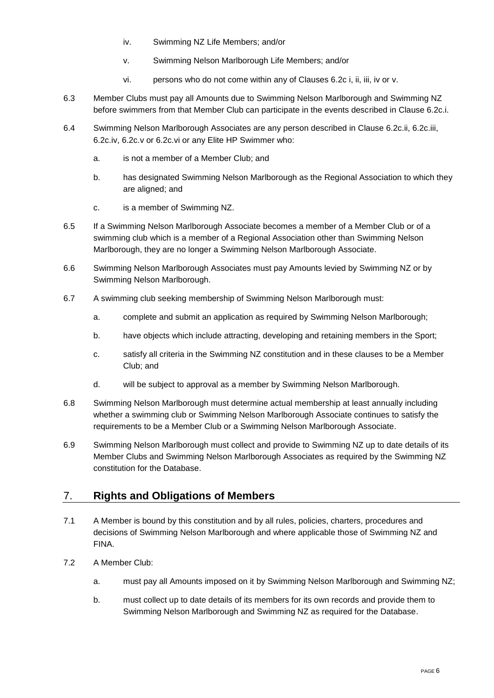- iv. Swimming NZ Life Members; and/or
- v. Swimming Nelson Marlborough Life Members; and/or
- vi. persons who do not come within any of Clauses 6.2c [i,](#page-6-2) [ii,](#page-6-3) [iii,](#page-6-4) [iv](#page-7-1) or [v.](#page-7-2)
- <span id="page-7-4"></span><span id="page-7-2"></span><span id="page-7-1"></span>6.3 Member Clubs must pay all Amounts due to Swimming Nelson Marlborough and Swimming NZ before swimmers from that Member Club can participate in the events described in Clause [6.2c.i.](#page-6-2)
- <span id="page-7-3"></span>6.4 Swimming Nelson Marlborough Associates are any person described in Clause [6.2c.ii,](#page-6-3) [6.2c.iii,](#page-6-4) [6.2c.iv,](#page-7-1) [6.2c.v](#page-7-2) or [6.2c.vi](#page-7-4) or any Elite HP Swimmer who:
	- a. is not a member of a Member Club; and
	- b. has designated Swimming Nelson Marlborough as the Regional Association to which they are aligned; and
	- c. is a member of Swimming NZ.
- 6.5 If a Swimming Nelson Marlborough Associate becomes a member of a Member Club or of a swimming club which is a member of a Regional Association other than Swimming Nelson Marlborough, they are no longer a Swimming Nelson Marlborough Associate.
- 6.6 Swimming Nelson Marlborough Associates must pay Amounts levied by Swimming NZ or by Swimming Nelson Marlborough.
- 6.7 A swimming club seeking membership of Swimming Nelson Marlborough must:
	- a. complete and submit an application as required by Swimming Nelson Marlborough;
	- b. have objects which include attracting, developing and retaining members in the Sport;
	- c. satisfy all criteria in the Swimming NZ constitution and in these clauses to be a Member Club; and
	- d. will be subject to approval as a member by Swimming Nelson Marlborough.
- 6.8 Swimming Nelson Marlborough must determine actual membership at least annually including whether a swimming club or Swimming Nelson Marlborough Associate continues to satisfy the requirements to be a Member Club or a Swimming Nelson Marlborough Associate.
- 6.9 Swimming Nelson Marlborough must collect and provide to Swimming NZ up to date details of its Member Clubs and Swimming Nelson Marlborough Associates as required by the Swimming NZ constitution for the Database.

# <span id="page-7-0"></span>7. **Rights and Obligations of Members**

- 7.1 A Member is bound by this constitution and by all rules, policies, charters, procedures and decisions of Swimming Nelson Marlborough and where applicable those of Swimming NZ and FINA.
- 7.2 A Member Club:
	- a. must pay all Amounts imposed on it by Swimming Nelson Marlborough and Swimming NZ;
	- b. must collect up to date details of its members for its own records and provide them to Swimming Nelson Marlborough and Swimming NZ as required for the Database.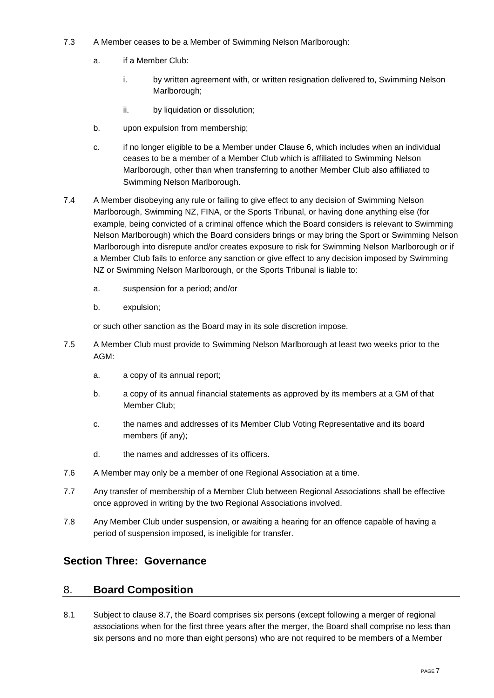- 7.3 A Member ceases to be a Member of Swimming Nelson Marlborough:
	- a. if a Member Club:
		- i. by written agreement with, or written resignation delivered to, Swimming Nelson Marlborough;
		- ii. by liquidation or dissolution;
	- b. upon expulsion from membership;
	- c. if no longer eligible to be a Member under Clause 6, which includes when an individual ceases to be a member of a Member Club which is affiliated to Swimming Nelson Marlborough, other than when transferring to another Member Club also affiliated to Swimming Nelson Marlborough.
- <span id="page-8-2"></span>7.4 A Member disobeying any rule or failing to give effect to any decision of Swimming Nelson Marlborough, Swimming NZ, FINA, or the Sports Tribunal, or having done anything else (for example, being convicted of a criminal offence which the Board considers is relevant to Swimming Nelson Marlborough) which the Board considers brings or may bring the Sport or Swimming Nelson Marlborough into disrepute and/or creates exposure to risk for Swimming Nelson Marlborough or if a Member Club fails to enforce any sanction or give effect to any decision imposed by Swimming NZ or Swimming Nelson Marlborough, or the Sports Tribunal is liable to:
	- a. suspension for a period; and/or
	- b. expulsion;

or such other sanction as the Board may in its sole discretion impose.

- 7.5 A Member Club must provide to Swimming Nelson Marlborough at least two weeks prior to the AGM:
	- a. a copy of its annual report;
	- b. a copy of its annual financial statements as approved by its members at a GM of that Member Club;
	- c. the names and addresses of its Member Club Voting Representative and its board members (if any);
	- d. the names and addresses of its officers.
- 7.6 A Member may only be a member of one Regional Association at a time.
- 7.7 Any transfer of membership of a Member Club between Regional Associations shall be effective once approved in writing by the two Regional Associations involved.
- 7.8 Any Member Club under suspension, or awaiting a hearing for an offence capable of having a period of suspension imposed, is ineligible for transfer.

# <span id="page-8-0"></span>**Section Three: Governance**

#### <span id="page-8-1"></span>8. **Board Composition**

8.1 Subject to clause [8.7,](#page-9-0) the Board comprises six persons (except following a merger of regional associations when for the first three years after the merger, the Board shall comprise no less than six persons and no more than eight persons) who are not required to be members of a Member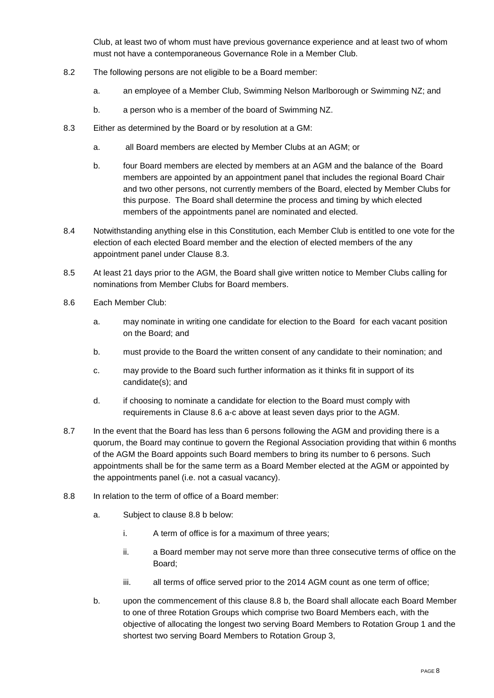Club, at least two of whom must have previous governance experience and at least two of whom must not have a contemporaneous Governance Role in a Member Club.

- 8.2 The following persons are not eligible to be a Board member:
	- a. an employee of a Member Club, Swimming Nelson Marlborough or Swimming NZ; and
	- b. a person who is a member of the board of Swimming NZ.
- <span id="page-9-1"></span>8.3 Either as determined by the Board or by resolution at a GM:
	- a. all Board members are elected by Member Clubs at an AGM; or
	- b. four Board members are elected by members at an AGM and the balance of the Board members are appointed by an appointment panel that includes the regional Board Chair and two other persons, not currently members of the Board, elected by Member Clubs for this purpose. The Board shall determine the process and timing by which elected members of the appointments panel are nominated and elected.
- 8.4 Notwithstanding anything else in this Constitution, each Member Club is entitled to one vote for the election of each elected Board member and the election of elected members of the any appointment panel under Clause [8.3.](#page-9-1)
- 8.5 At least 21 days prior to the AGM, the Board shall give written notice to Member Clubs calling for nominations from Member Clubs for Board members.
- <span id="page-9-2"></span>8.6 Each Member Club:
	- a. may nominate in writing one candidate for election to the Board for each vacant position on the Board; and
	- b. must provide to the Board the written consent of any candidate to their nomination; and
	- c. may provide to the Board such further information as it thinks fit in support of its candidate(s); and
	- d. if choosing to nominate a candidate for election to the Board must comply with requirements in Clause 8.6 [a](#page-9-2)[-c](#page-9-3) above at least seven days prior to the AGM.
- <span id="page-9-3"></span><span id="page-9-0"></span>8.7 In the event that the Board has less than 6 persons following the AGM and providing there is a quorum, the Board may continue to govern the Regional Association providing that within 6 months of the AGM the Board appoints such Board members to bring its number to 6 persons. Such appointments shall be for the same term as a Board Member elected at the AGM or appointed by the appointments panel (i.e. not a casual vacancy).
- <span id="page-9-5"></span><span id="page-9-4"></span>8.8 In relation to the term of office of a Board member:
	- a. Subject to clause 8.8 [b](#page-9-4) below:
		- i. A term of office is for a maximum of three years;
		- ii. a Board member may not serve more than three consecutive terms of office on the Board;
		- iii. all terms of office served prior to the 2014 AGM count as one term of office;
	- b. upon the commencement of this clause 8.8 [b,](#page-9-4) the Board shall allocate each Board Member to one of three Rotation Groups which comprise two Board Members each, with the objective of allocating the longest two serving Board Members to Rotation Group 1 and the shortest two serving Board Members to Rotation Group 3,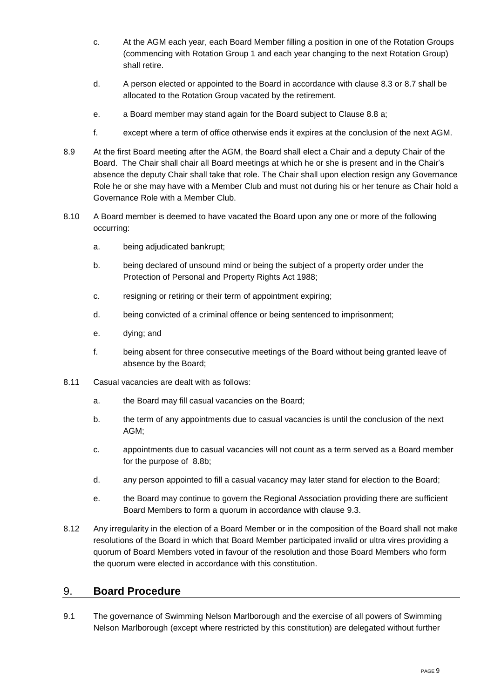- c. At the AGM each year, each Board Member filling a position in one of the Rotation Groups (commencing with Rotation Group 1 and each year changing to the next Rotation Group) shall retire.
- d. A person elected or appointed to the Board in accordance with clause [8.3](#page-9-1) or [8.7](#page-9-0) shall be allocated to the Rotation Group vacated by the retirement.
- e. a Board member may stand again for the Board subject to Clause 8.8 [a;](#page-9-5)
- f. except where a term of office otherwise ends it expires at the conclusion of the next AGM.
- 8.9 At the first Board meeting after the AGM, the Board shall elect a Chair and a deputy Chair of the Board. The Chair shall chair all Board meetings at which he or she is present and in the Chair's absence the deputy Chair shall take that role. The Chair shall upon election resign any Governance Role he or she may have with a Member Club and must not during his or her tenure as Chair hold a Governance Role with a Member Club.
- 8.10 A Board member is deemed to have vacated the Board upon any one or more of the following occurring:
	- a. being adjudicated bankrupt;
	- b. being declared of unsound mind or being the subject of a property order under the Protection of Personal and Property Rights Act 1988;
	- c. resigning or retiring or their term of appointment expiring;
	- d. being convicted of a criminal offence or being sentenced to imprisonment;
	- e. dying; and
	- f. being absent for three consecutive meetings of the Board without being granted leave of absence by the Board;
- 8.11 Casual vacancies are dealt with as follows:
	- a. the Board may fill casual vacancies on the Board;
	- b. the term of any appointments due to casual vacancies is until the conclusion of the next AGM;
	- c. appointments due to casual vacancies will not count as a term served as a Board member for the purpose of [8.8b;](#page-9-4)
	- d. any person appointed to fill a casual vacancy may later stand for election to the Board;
	- e. the Board may continue to govern the Regional Association providing there are sufficient Board Members to form a quorum in accordance with clause [9.3.](#page-11-0)
- <span id="page-10-0"></span>8.12 Any irregularity in the election of a Board Member or in the composition of the Board shall not make resolutions of the Board in which that Board Member participated invalid or ultra vires providing a quorum of Board Members voted in favour of the resolution and those Board Members who form the quorum were elected in accordance with this constitution.

#### 9. **Board Procedure**

9.1 The governance of Swimming Nelson Marlborough and the exercise of all powers of Swimming Nelson Marlborough (except where restricted by this constitution) are delegated without further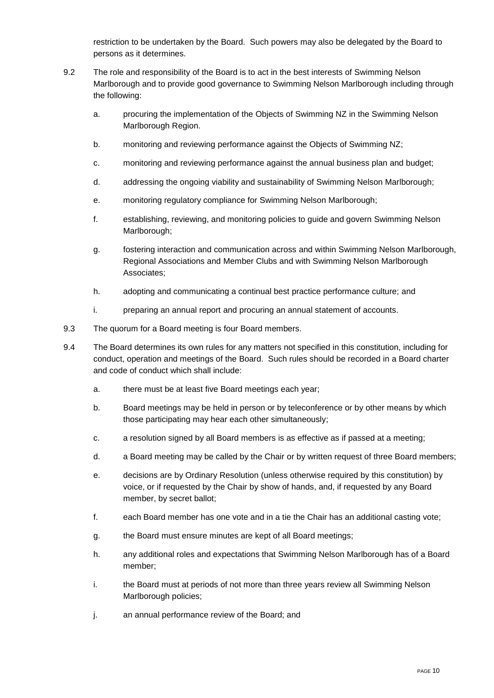restriction to be undertaken by the Board. Such powers may also be delegated by the Board to persons as it determines.

- 9.2 The role and responsibility of the Board is to act in the best interests of Swimming Nelson Marlborough and to provide good governance to Swimming Nelson Marlborough including through the following:
	- a. procuring the implementation of the Objects of Swimming NZ in the Swimming Nelson Marlborough Region.
	- b. monitoring and reviewing performance against the Objects of Swimming NZ;
	- c. monitoring and reviewing performance against the annual business plan and budget;
	- d. addressing the ongoing viability and sustainability of Swimming Nelson Marlborough;
	- e. monitoring regulatory compliance for Swimming Nelson Marlborough;
	- f. establishing, reviewing, and monitoring policies to guide and govern Swimming Nelson Marlborough;
	- g. fostering interaction and communication across and within Swimming Nelson Marlborough, Regional Associations and Member Clubs and with Swimming Nelson Marlborough Associates;
	- h. adopting and communicating a continual best practice performance culture; and
	- i. preparing an annual report and procuring an annual statement of accounts.
- <span id="page-11-0"></span>9.3 The quorum for a Board meeting is four Board members.
- 9.4 The Board determines its own rules for any matters not specified in this constitution, including for conduct, operation and meetings of the Board. Such rules should be recorded in a Board charter and code of conduct which shall include:
	- a. there must be at least five Board meetings each year;
	- b. Board meetings may be held in person or by teleconference or by other means by which those participating may hear each other simultaneously;
	- c. a resolution signed by all Board members is as effective as if passed at a meeting;
	- d. a Board meeting may be called by the Chair or by written request of three Board members;
	- e. decisions are by Ordinary Resolution (unless otherwise required by this constitution) by voice, or if requested by the Chair by show of hands, and, if requested by any Board member, by secret ballot;
	- f. each Board member has one vote and in a tie the Chair has an additional casting vote;
	- g. the Board must ensure minutes are kept of all Board meetings;
	- h. any additional roles and expectations that Swimming Nelson Marlborough has of a Board member;
	- i. the Board must at periods of not more than three years review all Swimming Nelson Marlborough policies;
	- j. an annual performance review of the Board; and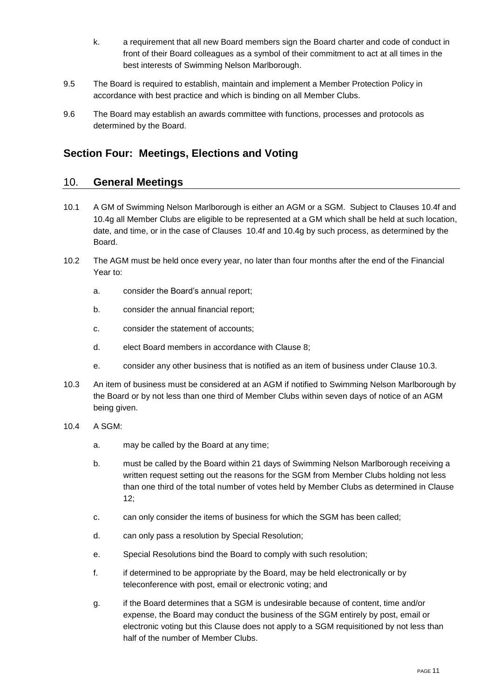- k. a requirement that all new Board members sign the Board charter and code of conduct in front of their Board colleagues as a symbol of their commitment to act at all times in the best interests of Swimming Nelson Marlborough.
- 9.5 The Board is required to establish, maintain and implement a Member Protection Policy in accordance with best practice and which is binding on all Member Clubs.
- 9.6 The Board may establish an awards committee with functions, processes and protocols as determined by the Board.

# <span id="page-12-0"></span>**Section Four: Meetings, Elections and Voting**

#### <span id="page-12-1"></span>10. **General Meetings**

- 10.1 A GM of Swimming Nelson Marlborough is either an AGM or a SGM. Subject to Clauses [10.4f](#page-12-2) and [10.4g](#page-12-3) all Member Clubs are eligible to be represented at a GM which shall be held at such location, date, and time, or in the case of Clauses [10.4f](#page-12-2) and [10.4g](#page-12-3) by such process, as determined by the Board.
- 10.2 The AGM must be held once every year, no later than four months after the end of the Financial Year to:
	- a. consider the Board's annual report;
	- b. consider the annual financial report;
	- c. consider the statement of accounts;
	- d. elect Board members in accordance with Clause [8;](#page-8-1)
	- e. consider any other business that is notified as an item of business under Clause [10.3.](#page-12-4)
- <span id="page-12-4"></span>10.3 An item of business must be considered at an AGM if notified to Swimming Nelson Marlborough by the Board or by not less than one third of Member Clubs within seven days of notice of an AGM being given.
- <span id="page-12-3"></span><span id="page-12-2"></span>10.4 A SGM:
	- a. may be called by the Board at any time;
	- b. must be called by the Board within 21 days of Swimming Nelson Marlborough receiving a written request setting out the reasons for the SGM from Member Clubs holding not less than one third of the total number of votes held by Member Clubs as determined in Clause [12;](#page-13-1)
	- c. can only consider the items of business for which the SGM has been called;
	- d. can only pass a resolution by Special Resolution;
	- e. Special Resolutions bind the Board to comply with such resolution;
	- f. if determined to be appropriate by the Board, may be held electronically or by teleconference with post, email or electronic voting; and
	- g. if the Board determines that a SGM is undesirable because of content, time and/or expense, the Board may conduct the business of the SGM entirely by post, email or electronic voting but this Clause does not apply to a SGM requisitioned by not less than half of the number of Member Clubs.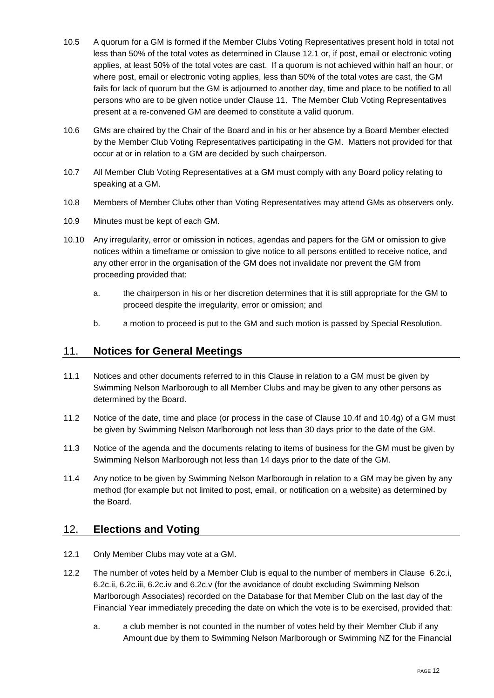- 10.5 A quorum for a GM is formed if the Member Clubs Voting Representatives present hold in total not less than 50% of the total votes as determined in Clause [12.1](#page-13-2) or, if post, email or electronic voting applies, at least 50% of the total votes are cast. If a quorum is not achieved within half an hour, or where post, email or electronic voting applies, less than 50% of the total votes are cast, the GM fails for lack of quorum but the GM is adjourned to another day, time and place to be notified to all persons who are to be given notice under Clause [11.](#page-13-0) The Member Club Voting Representatives present at a re-convened GM are deemed to constitute a valid quorum.
- 10.6 GMs are chaired by the Chair of the Board and in his or her absence by a Board Member elected by the Member Club Voting Representatives participating in the GM. Matters not provided for that occur at or in relation to a GM are decided by such chairperson.
- 10.7 All Member Club Voting Representatives at a GM must comply with any Board policy relating to speaking at a GM.
- 10.8 Members of Member Clubs other than Voting Representatives may attend GMs as observers only.
- 10.9 Minutes must be kept of each GM.
- 10.10 Any irregularity, error or omission in notices, agendas and papers for the GM or omission to give notices within a timeframe or omission to give notice to all persons entitled to receive notice, and any other error in the organisation of the GM does not invalidate nor prevent the GM from proceeding provided that:
	- a. the chairperson in his or her discretion determines that it is still appropriate for the GM to proceed despite the irregularity, error or omission; and
	- b. a motion to proceed is put to the GM and such motion is passed by Special Resolution.

#### <span id="page-13-0"></span>11. **Notices for General Meetings**

- 11.1 Notices and other documents referred to in this Clause in relation to a GM must be given by Swimming Nelson Marlborough to all Member Clubs and may be given to any other persons as determined by the Board.
- 11.2 Notice of the date, time and place (or process in the case of Clause [10.4f](#page-12-2) and [10.4g\)](#page-12-3) of a GM must be given by Swimming Nelson Marlborough not less than 30 days prior to the date of the GM.
- 11.3 Notice of the agenda and the documents relating to items of business for the GM must be given by Swimming Nelson Marlborough not less than 14 days prior to the date of the GM.
- 11.4 Any notice to be given by Swimming Nelson Marlborough in relation to a GM may be given by any method (for example but not limited to post, email, or notification on a website) as determined by the Board.

#### <span id="page-13-1"></span>12. **Elections and Voting**

- <span id="page-13-2"></span>12.1 Only Member Clubs may vote at a GM.
- 12.2 The number of votes held by a Member Club is equal to the number of members in Clause [6.2c.i,](#page-6-2) [6.2c.ii,](#page-6-3) [6.2c.iii,](#page-6-4) [6.2c.iv](#page-7-1) and [6.2c.v](#page-7-2) (for the avoidance of doubt excluding Swimming Nelson Marlborough Associates) recorded on the Database for that Member Club on the last day of the Financial Year immediately preceding the date on which the vote is to be exercised, provided that:
	- a. a club member is not counted in the number of votes held by their Member Club if any Amount due by them to Swimming Nelson Marlborough or Swimming NZ for the Financial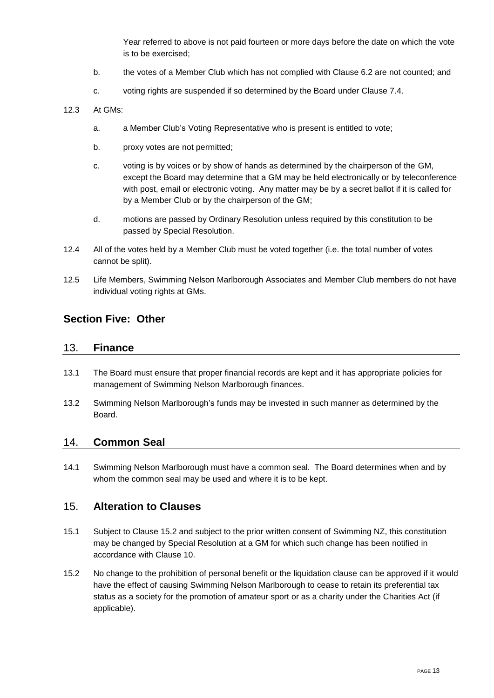Year referred to above is not paid fourteen or more days before the date on which the vote is to be exercised;

- b. the votes of a Member Club which has not complied with Clause [6.2](#page-6-7) are not counted; and
- c. voting rights are suspended if so determined by the Board under Clause [7.4.](#page-8-2)

#### 12.3 At GMs:

- a. a Member Club's Voting Representative who is present is entitled to vote;
- b. proxy votes are not permitted;
- c. voting is by voices or by show of hands as determined by the chairperson of the GM, except the Board may determine that a GM may be held electronically or by teleconference with post, email or electronic voting. Any matter may be by a secret ballot if it is called for by a Member Club or by the chairperson of the GM;
- d. motions are passed by Ordinary Resolution unless required by this constitution to be passed by Special Resolution.
- 12.4 All of the votes held by a Member Club must be voted together (i.e. the total number of votes cannot be split).
- 12.5 Life Members, Swimming Nelson Marlborough Associates and Member Club members do not have individual voting rights at GMs.

## <span id="page-14-0"></span>**Section Five: Other**

#### <span id="page-14-1"></span>13. **Finance**

- 13.1 The Board must ensure that proper financial records are kept and it has appropriate policies for management of Swimming Nelson Marlborough finances.
- 13.2 Swimming Nelson Marlborough's funds may be invested in such manner as determined by the Board.

#### <span id="page-14-2"></span>14. **Common Seal**

14.1 Swimming Nelson Marlborough must have a common seal. The Board determines when and by whom the common seal may be used and where it is to be kept.

#### <span id="page-14-3"></span>15. **Alteration to Clauses**

- 15.1 Subject to Clause [15.2](#page-14-4) and subject to the prior written consent of Swimming NZ, this constitution may be changed by Special Resolution at a GM for which such change has been notified in accordance with Clause [10.](#page-12-1)
- <span id="page-14-4"></span>15.2 No change to the prohibition of personal benefit or the liquidation clause can be approved if it would have the effect of causing Swimming Nelson Marlborough to cease to retain its preferential tax status as a society for the promotion of amateur sport or as a charity under the Charities Act (if applicable).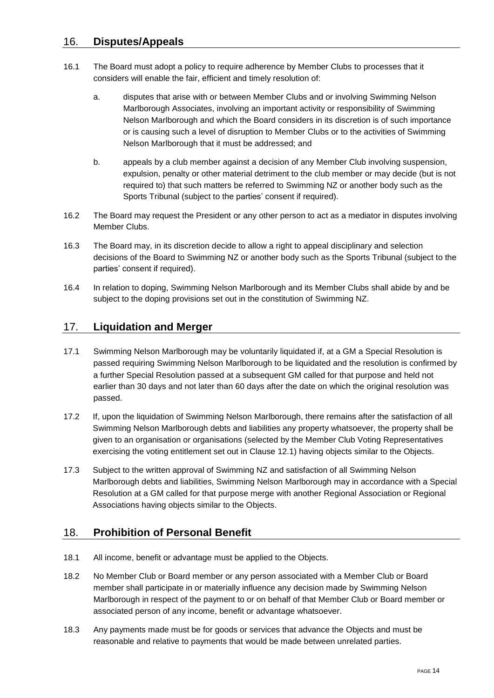## <span id="page-15-0"></span>16. **Disputes/Appeals**

- 16.1 The Board must adopt a policy to require adherence by Member Clubs to processes that it considers will enable the fair, efficient and timely resolution of:
	- a. disputes that arise with or between Member Clubs and or involving Swimming Nelson Marlborough Associates, involving an important activity or responsibility of Swimming Nelson Marlborough and which the Board considers in its discretion is of such importance or is causing such a level of disruption to Member Clubs or to the activities of Swimming Nelson Marlborough that it must be addressed; and
	- b. appeals by a club member against a decision of any Member Club involving suspension, expulsion, penalty or other material detriment to the club member or may decide (but is not required to) that such matters be referred to Swimming NZ or another body such as the Sports Tribunal (subject to the parties' consent if required).
- 16.2 The Board may request the President or any other person to act as a mediator in disputes involving Member Clubs.
- 16.3 The Board may, in its discretion decide to allow a right to appeal disciplinary and selection decisions of the Board to Swimming NZ or another body such as the Sports Tribunal (subject to the parties' consent if required).
- 16.4 In relation to doping, Swimming Nelson Marlborough and its Member Clubs shall abide by and be subject to the doping provisions set out in the constitution of Swimming NZ.

## <span id="page-15-1"></span>17. **Liquidation and Merger**

- 17.1 Swimming Nelson Marlborough may be voluntarily liquidated if, at a GM a Special Resolution is passed requiring Swimming Nelson Marlborough to be liquidated and the resolution is confirmed by a further Special Resolution passed at a subsequent GM called for that purpose and held not earlier than 30 days and not later than 60 days after the date on which the original resolution was passed.
- 17.2 If, upon the liquidation of Swimming Nelson Marlborough, there remains after the satisfaction of all Swimming Nelson Marlborough debts and liabilities any property whatsoever, the property shall be given to an organisation or organisations (selected by the Member Club Voting Representatives exercising the voting entitlement set out in Clause [12.1\)](#page-13-2) having objects similar to the Objects.
- 17.3 Subject to the written approval of Swimming NZ and satisfaction of all Swimming Nelson Marlborough debts and liabilities, Swimming Nelson Marlborough may in accordance with a Special Resolution at a GM called for that purpose merge with another Regional Association or Regional Associations having objects similar to the Objects.

# <span id="page-15-2"></span>18. **Prohibition of Personal Benefit**

- 18.1 All income, benefit or advantage must be applied to the Objects.
- 18.2 No Member Club or Board member or any person associated with a Member Club or Board member shall participate in or materially influence any decision made by Swimming Nelson Marlborough in respect of the payment to or on behalf of that Member Club or Board member or associated person of any income, benefit or advantage whatsoever.
- 18.3 Any payments made must be for goods or services that advance the Objects and must be reasonable and relative to payments that would be made between unrelated parties.